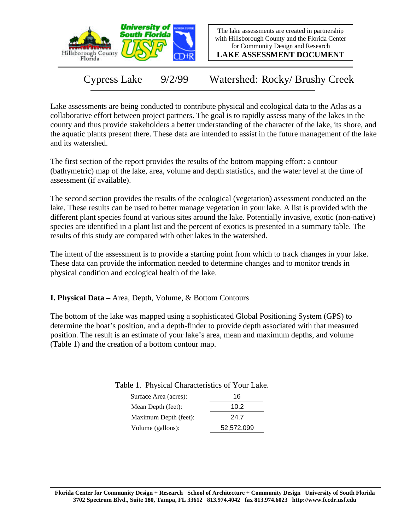

The lake assessments are created in partnership with Hillsborough County and the Florida Center for Community Design and Research

**LAKE ASSESSMENT DOCUMENT**

Cypress Lake 9/2/99 Watershed: Rocky/ Brushy Creek

Lake assessments are being conducted to contribute physical and ecological data to the Atlas as a collaborative effort between project partners. The goal is to rapidly assess many of the lakes in the county and thus provide stakeholders a better understanding of the character of the lake, its shore, and the aquatic plants present there. These data are intended to assist in the future management of the lake and its watershed.

The first section of the report provides the results of the bottom mapping effort: a contour (bathymetric) map of the lake, area, volume and depth statistics, and the water level at the time of assessment (if available).

The second section provides the results of the ecological (vegetation) assessment conducted on the lake. These results can be used to better manage vegetation in your lake. A list is provided with the different plant species found at various sites around the lake. Potentially invasive, exotic (non-native) species are identified in a plant list and the percent of exotics is presented in a summary table. The results of this study are compared with other lakes in the watershed.

The intent of the assessment is to provide a starting point from which to track changes in your lake. These data can provide the information needed to determine changes and to monitor trends in physical condition and ecological health of the lake.

**I. Physical Data –** Area, Depth, Volume, & Bottom Contours

The bottom of the lake was mapped using a sophisticated Global Positioning System (GPS) to determine the boat's position, and a depth-finder to provide depth associated with that measured position. The result is an estimate of your lake's area, mean and maximum depths, and volume (Table 1) and the creation of a bottom contour map.

> Surface Area (acres): 16 Table 1. Physical Characteristics of Your Lake.

| SUITACE AICA (ACIES). | .          |
|-----------------------|------------|
| Mean Depth (feet):    | 10.2       |
| Maximum Depth (feet): | 24.7       |
| Volume (gallons):     | 52,572,099 |
|                       |            |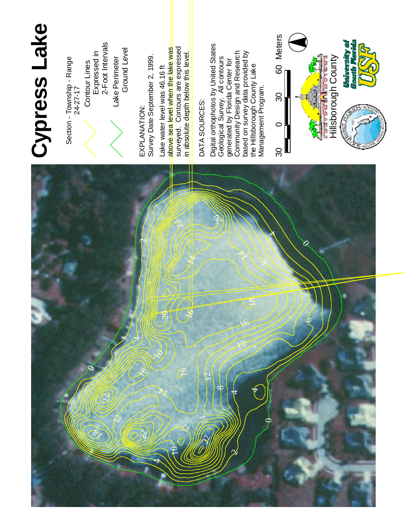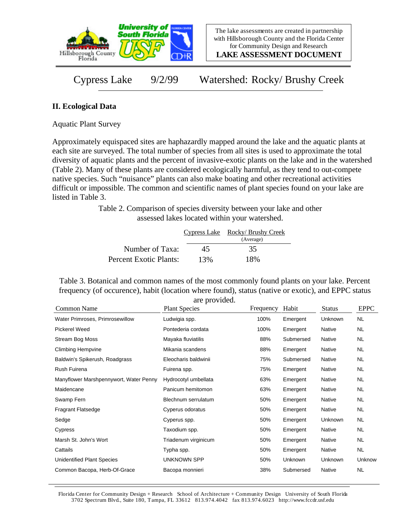

**LAKE ASSESSMENT DOCUMENT**

Cypress Lake 9/2/99 Watershed: Rocky/ Brushy Creek

## **II. Ecological Data**

Aquatic Plant Survey

Approximately equispaced sites are haphazardly mapped around the lake and the aquatic plants at each site are surveyed. The total number of species from all sites is used to approximate the total diversity of aquatic plants and the percent of invasive-exotic plants on the lake and in the watershed (Table 2). Many of these plants are considered ecologically harmful, as they tend to out-compete native species. Such "nuisance" plants can also make boating and other recreational activities difficult or impossible. The common and scientific names of plant species found on your lake are listed in Table 3.

> Table 2. Comparison of species diversity between your lake and other assessed lakes located within your watershed.

|                        |     | Cypress Lake Rocky/Brushy Creek<br>(Average) |
|------------------------|-----|----------------------------------------------|
| Number of Taxa:        | 45  | 35                                           |
| Percent Exotic Plants: | 13% | 18%                                          |

Table 3. Botanical and common names of the most commonly found plants on your lake. Percent frequency (of occurence), habit (location where found), status (native or exotic), and EPPC status are provided.

| Common Name                            | <b>Plant Species</b> | Frequency | Habit     | <b>Status</b> | <b>EPPC</b> |
|----------------------------------------|----------------------|-----------|-----------|---------------|-------------|
| Water Primroses, Primrosewillow        | Ludwigia spp.        | 100%      | Emergent  | Unknown       | <b>NL</b>   |
| Pickerel Weed                          | Pontederia cordata   | 100%      | Emergent  | Native        | NL.         |
| Stream Bog Moss                        | Mayaka fluviatilis   | 88%       | Submersed | Native        | NL.         |
| <b>Climbing Hempvine</b>               | Mikania scandens     | 88%       | Emergent  | Native        | NL.         |
| Baldwin's Spikerush, Roadgrass         | Eleocharis baldwinii | 75%       | Submersed | Native        | NL.         |
| Rush Fuirena                           | Fuirena spp.         | 75%       | Emergent  | Native        | NL.         |
| Manyflower Marshpennywort, Water Penny | Hydrocotyl umbellata | 63%       | Emergent  | Native        | <b>NL</b>   |
| Maidencane                             | Panicum hemitomon    | 63%       | Emergent  | Native        | <b>NL</b>   |
| Swamp Fern                             | Blechnum serrulatum  | 50%       | Emergent  | Native        | <b>NL</b>   |
| <b>Fragrant Flatsedge</b>              | Cyperus odoratus     | 50%       | Emergent  | Native        | <b>NL</b>   |
| Sedge                                  | Cyperus spp.         | 50%       | Emergent  | Unknown       | NL.         |
| Cypress                                | Taxodium spp.        | 50%       | Emergent  | Native        | NL.         |
| Marsh St. John's Wort                  | Triadenum virginicum | 50%       | Emergent  | Native        | <b>NL</b>   |
| Cattails                               | Typha spp.           | 50%       | Emergent  | Native        | <b>NL</b>   |
| Unidentified Plant Species             | <b>UNKNOWN SPP</b>   | 50%       | Unknown   | Unknown       | Unknow      |
| Common Bacopa, Herb-Of-Grace           | Bacopa monnieri      | 38%       | Submersed | Native        | <b>NL</b>   |

Florida Center for Community Design + Research School of Architecture + Community Design University of South Florida 3702 Spectrum Blvd., Suite 180, Tampa, FL 33612 813.974.4042 fax 813.974.6023 http://www.fccdr.usf.edu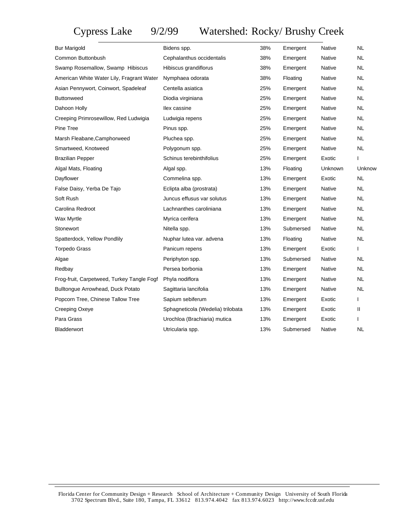## Cypress Lake 9/2/99 Watershed: Rocky/ Brushy Creek

| Bur Marigold                               | Bidens spp.                       | 38% | Emergent  | Native  | <b>NL</b>    |
|--------------------------------------------|-----------------------------------|-----|-----------|---------|--------------|
| Common Buttonbush                          | Cephalanthus occidentalis         | 38% | Emergent  | Native  | <b>NL</b>    |
| Swamp Rosemallow, Swamp Hibiscus           | Hibiscus grandiflorus             | 38% | Emergent  | Native  | <b>NL</b>    |
| American White Water Lily, Fragrant Water  | Nymphaea odorata                  | 38% | Floating  | Native  | NL.          |
| Asian Pennywort, Coinwort, Spadeleaf       | Centella asiatica                 | 25% | Emergent  | Native  | <b>NL</b>    |
| <b>Buttonweed</b>                          | Diodia virginiana                 | 25% | Emergent  | Native  | <b>NL</b>    |
| Dahoon Holly                               | llex cassine                      | 25% | Emergent  | Native  | <b>NL</b>    |
| Creeping Primrosewillow, Red Ludwigia      | Ludwigia repens                   | 25% | Emergent  | Native  | <b>NL</b>    |
| Pine Tree                                  | Pinus spp.                        | 25% | Emergent  | Native  | <b>NL</b>    |
| Marsh Fleabane, Camphorweed                | Pluchea spp.                      | 25% | Emergent  | Native  | <b>NL</b>    |
| Smartweed, Knotweed                        | Polygonum spp.                    | 25% | Emergent  | Native  | <b>NL</b>    |
| <b>Brazilian Pepper</b>                    | Schinus terebinthifolius          | 25% | Emergent  | Exotic  | $\mathbf{I}$ |
| Algal Mats, Floating                       | Algal spp.                        | 13% | Floating  | Unknown | Unknow       |
| Dayflower                                  | Commelina spp.                    | 13% | Emergent  | Exotic  | <b>NL</b>    |
| False Daisy, Yerba De Tajo                 | Eclipta alba (prostrata)          | 13% | Emergent  | Native  | <b>NL</b>    |
| Soft Rush                                  | Juncus effusus var solutus        | 13% | Emergent  | Native  | <b>NL</b>    |
| Carolina Redroot                           | Lachnanthes caroliniana           | 13% | Emergent  | Native  | <b>NL</b>    |
| Wax Myrtle                                 | Myrica cerifera                   | 13% | Emergent  | Native  | <b>NL</b>    |
| Stonewort                                  | Nitella spp.                      | 13% | Submersed | Native  | <b>NL</b>    |
| Spatterdock, Yellow Pondlily               | Nuphar lutea var. advena          | 13% | Floating  | Native  | <b>NL</b>    |
| <b>Torpedo Grass</b>                       | Panicum repens                    | 13% | Emergent  | Exotic  | T            |
| Algae                                      | Periphyton spp.                   | 13% | Submersed | Native  | <b>NL</b>    |
| Redbay                                     | Persea borbonia                   | 13% | Emergent  | Native  | <b>NL</b>    |
| Frog-fruit, Carpetweed, Turkey Tangle Fogf | Phyla nodiflora                   | 13% | Emergent  | Native  | <b>NL</b>    |
| Bulltongue Arrowhead, Duck Potato          | Sagittaria lancifolia             | 13% | Emergent  | Native  | <b>NL</b>    |
| Popcorn Tree, Chinese Tallow Tree          | Sapium sebiferum                  | 13% | Emergent  | Exotic  | $\mathbf{I}$ |
| Creeping Oxeye                             | Sphagneticola (Wedelia) trilobata | 13% | Emergent  | Exotic  | Ш            |
| Para Grass                                 | Urochloa (Brachiaria) mutica      | 13% | Emergent  | Exotic  | T            |
| Bladderwort                                | Utricularia spp.                  | 13% | Submersed | Native  | <b>NL</b>    |
|                                            |                                   |     |           |         |              |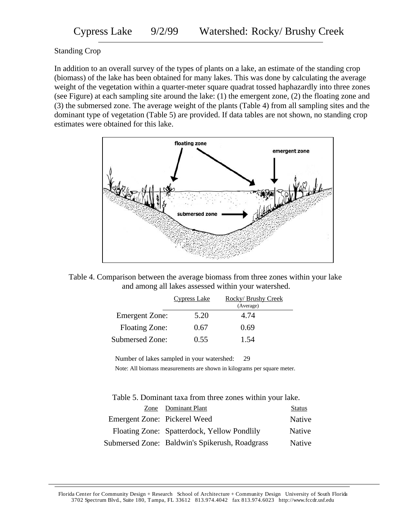## Standing Crop

In addition to an overall survey of the types of plants on a lake, an estimate of the standing crop (biomass) of the lake has been obtained for many lakes. This was done by calculating the average weight of the vegetation within a quarter-meter square quadrat tossed haphazardly into three zones (see Figure) at each sampling site around the lake: (1) the emergent zone, (2) the floating zone and (3) the submersed zone. The average weight of the plants (Table 4) from all sampling sites and the dominant type of vegetation (Table 5) are provided. If data tables are not shown, no standing crop estimates were obtained for this lake.



Table 4. Comparison between the average biomass from three zones within your lake and among all lakes assessed within your watershed.

|                       | <b>Cypress Lake</b> | Rocky/Brushy Creek |  |
|-----------------------|---------------------|--------------------|--|
|                       |                     | (Average)          |  |
| <b>Emergent Zone:</b> | 5.20                | 4.74               |  |
| <b>Floating Zone:</b> | 0.67                | 0.69               |  |
| Submersed Zone:       | 0.55                | 1.54               |  |

Number of lakes sampled in your watershed: 29

Note: All biomass measurements are shown in kilograms per square meter.

Table 5. Dominant taxa from three zones within your lake.

|                              | Zone Dominant Plant                            | <b>Status</b> |
|------------------------------|------------------------------------------------|---------------|
| Emergent Zone: Pickerel Weed |                                                | Native        |
|                              | Floating Zone: Spatterdock, Yellow Pondlily    | Native        |
|                              | Submersed Zone: Baldwin's Spikerush, Roadgrass | Native        |